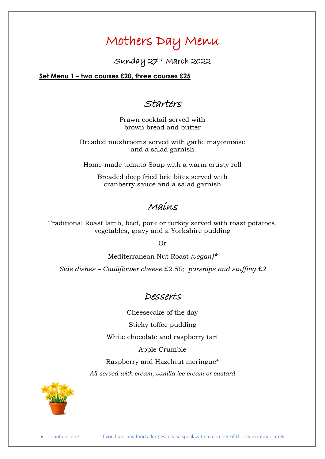# Mothers Day Menu

Sunday 27th March 2022

**Set Menu 1 – two courses £20, three courses £25**

## Starters

Prawn cocktail served with brown bread and butter

Breaded mushrooms served with garlic mayonnaise and a salad garnish

Home-made tomato Soup with a warm crusty roll

Breaded deep fried brie bites served with cranberry sauce and a salad garnish

### Mains

Traditional Roast lamb, beef, pork or turkey served with roast potatoes, vegetables, gravy and a Yorkshire pudding

Or

Mediterranean Nut Roast *(vegan)\* Side dishes – Cauliflower cheese £2.50; parsnips and stuffing £2*

# Desserts

Cheesecake of the day

Sticky toffee pudding

White chocolate and raspberry tart

Apple Crumble

Raspberry and Hazelnut meringue\*

*All served with cream, vanilla ice cream or custard*